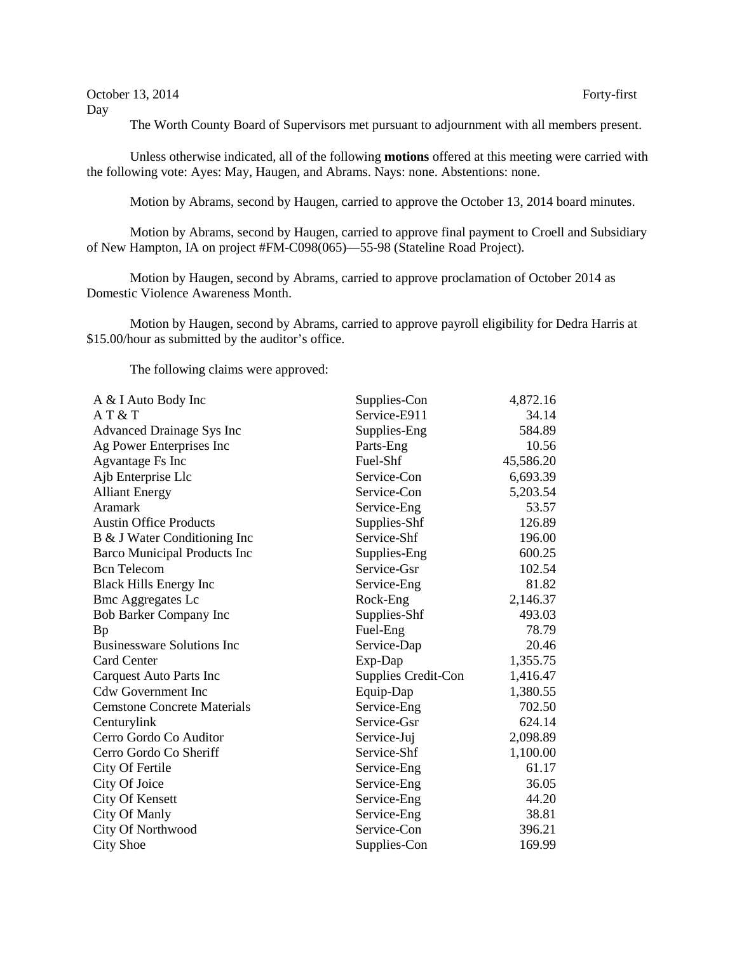October 13, 2014 Forty-first Day

The Worth County Board of Supervisors met pursuant to adjournment with all members present.

Unless otherwise indicated, all of the following **motions** offered at this meeting were carried with the following vote: Ayes: May, Haugen, and Abrams. Nays: none. Abstentions: none.

Motion by Abrams, second by Haugen, carried to approve the October 13, 2014 board minutes.

Motion by Abrams, second by Haugen, carried to approve final payment to Croell and Subsidiary of New Hampton, IA on project #FM-C098(065)—55-98 (Stateline Road Project).

Motion by Haugen, second by Abrams, carried to approve proclamation of October 2014 as Domestic Violence Awareness Month.

Motion by Haugen, second by Abrams, carried to approve payroll eligibility for Dedra Harris at \$15.00/hour as submitted by the auditor's office.

The following claims were approved:

| A & I Auto Body Inc                | Supplies-Con        | 4,872.16  |
|------------------------------------|---------------------|-----------|
| AT & T                             | Service-E911        | 34.14     |
| <b>Advanced Drainage Sys Inc</b>   | Supplies-Eng        | 584.89    |
| Ag Power Enterprises Inc           | Parts-Eng           | 10.56     |
| Agvantage Fs Inc                   | Fuel-Shf            | 45,586.20 |
| Ajb Enterprise Llc                 | Service-Con         | 6,693.39  |
| <b>Alliant Energy</b>              | Service-Con         | 5,203.54  |
| Aramark                            | Service-Eng         | 53.57     |
| <b>Austin Office Products</b>      | Supplies-Shf        | 126.89    |
| B & J Water Conditioning Inc       | Service-Shf         | 196.00    |
| Barco Municipal Products Inc       | Supplies-Eng        | 600.25    |
| <b>Bcn</b> Telecom                 | Service-Gsr         | 102.54    |
| <b>Black Hills Energy Inc</b>      | Service-Eng         | 81.82     |
| <b>Bmc Aggregates Lc</b>           | Rock-Eng            | 2,146.37  |
| <b>Bob Barker Company Inc</b>      | Supplies-Shf        | 493.03    |
| <b>Bp</b>                          | Fuel-Eng            | 78.79     |
| <b>Businessware Solutions Inc</b>  | Service-Dap         | 20.46     |
| <b>Card Center</b>                 | Exp-Dap             | 1,355.75  |
| <b>Carquest Auto Parts Inc</b>     | Supplies Credit-Con | 1,416.47  |
| <b>Cdw Government Inc</b>          | Equip-Dap           | 1,380.55  |
| <b>Cemstone Concrete Materials</b> | Service-Eng         | 702.50    |
| Centurylink                        | Service-Gsr         | 624.14    |
| Cerro Gordo Co Auditor             | Service-Juj         | 2,098.89  |
| Cerro Gordo Co Sheriff             | Service-Shf         | 1,100.00  |
| City Of Fertile                    | Service-Eng         | 61.17     |
| City Of Joice                      | Service-Eng         | 36.05     |
| City Of Kensett                    | Service-Eng         | 44.20     |
| City Of Manly                      | Service-Eng         | 38.81     |
| City Of Northwood                  | Service-Con         | 396.21    |
| <b>City Shoe</b>                   | Supplies-Con        | 169.99    |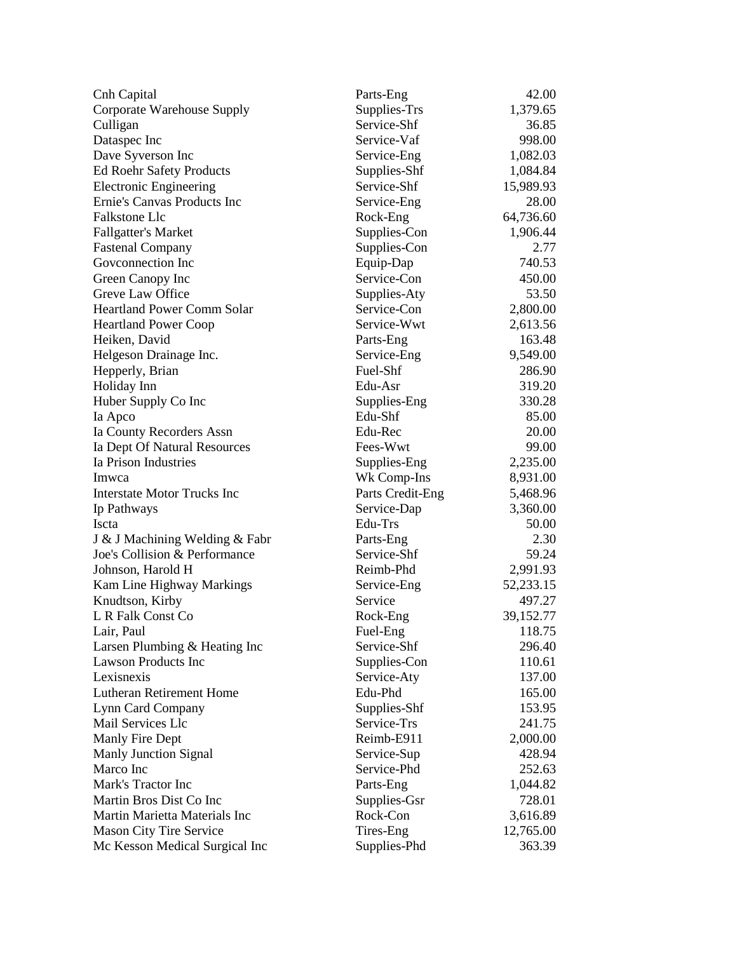| Cnh Capital                        | Parts-Eng        | 42.00       |
|------------------------------------|------------------|-------------|
| Corporate Warehouse Supply         | Supplies-Trs     | 1,379.65    |
| Culligan                           | Service-Shf      | 36.85       |
| Dataspec Inc                       | Service-Vaf      | 998.00      |
| Dave Syverson Inc                  | Service-Eng      | 1,082.03    |
| <b>Ed Roehr Safety Products</b>    | Supplies-Shf     | 1,084.84    |
| <b>Electronic Engineering</b>      | Service-Shf      | 15,989.93   |
| Ernie's Canvas Products Inc        | Service-Eng      | 28.00       |
| <b>Falkstone Llc</b>               | Rock-Eng         | 64,736.60   |
| <b>Fallgatter's Market</b>         | Supplies-Con     | 1,906.44    |
| <b>Fastenal Company</b>            | Supplies-Con     | 2.77        |
| Goveonnection Inc                  | Equip-Dap        | 740.53      |
| Green Canopy Inc                   | Service-Con      | 450.00      |
| Greve Law Office                   | Supplies-Aty     | 53.50       |
| <b>Heartland Power Comm Solar</b>  | Service-Con      | 2,800.00    |
| <b>Heartland Power Coop</b>        | Service-Wwt      | 2,613.56    |
| Heiken, David                      | Parts-Eng        | 163.48      |
| Helgeson Drainage Inc.             | Service-Eng      | 9,549.00    |
| Hepperly, Brian                    | Fuel-Shf         | 286.90      |
| Holiday Inn                        | Edu-Asr          | 319.20      |
| Huber Supply Co Inc                | Supplies-Eng     | 330.28      |
| Ia Apco                            | Edu-Shf          | 85.00       |
| Ia County Recorders Assn           | Edu-Rec          | 20.00       |
| Ia Dept Of Natural Resources       | Fees-Wwt         | 99.00       |
| Ia Prison Industries               | Supplies-Eng     | 2,235.00    |
| Imwca                              | Wk Comp-Ins      | 8,931.00    |
| <b>Interstate Motor Trucks Inc</b> | Parts Credit-Eng | 5,468.96    |
| Ip Pathways                        | Service-Dap      | 3,360.00    |
| Iscta                              | Edu-Trs          | 50.00       |
| J & J Machining Welding & Fabr     | Parts-Eng        | 2.30        |
| Joe's Collision & Performance      | Service-Shf      | 59.24       |
| Johnson, Harold H                  | Reimb-Phd        | 2,991.93    |
| Kam Line Highway Markings          | Service-Eng      | 52, 233. 15 |
| Knudtson, Kirby                    | Service          | 497.27      |
| L R Falk Const Co                  | Rock-Eng         | 39,152.77   |
| Lair, Paul                         | Fuel-Eng         | 118.75      |
| Larsen Plumbing & Heating Inc      | Service-Shf      | 296.40      |
| <b>Lawson Products Inc</b>         | Supplies-Con     | 110.61      |
| Lexisnexis                         | Service-Aty      | 137.00      |
| Lutheran Retirement Home           | Edu-Phd          | 165.00      |
| Lynn Card Company                  | Supplies-Shf     | 153.95      |
| Mail Services Llc                  | Service-Trs      | 241.75      |
| Manly Fire Dept                    | Reimb-E911       | 2,000.00    |
| <b>Manly Junction Signal</b>       | Service-Sup      | 428.94      |
| Marco Inc                          | Service-Phd      | 252.63      |
| Mark's Tractor Inc                 | Parts-Eng        | 1,044.82    |
| Martin Bros Dist Co Inc            | Supplies-Gsr     | 728.01      |
| Martin Marietta Materials Inc      | Rock-Con         | 3,616.89    |
| <b>Mason City Tire Service</b>     | Tires-Eng        | 12,765.00   |
| Mc Kesson Medical Surgical Inc     | Supplies-Phd     | 363.39      |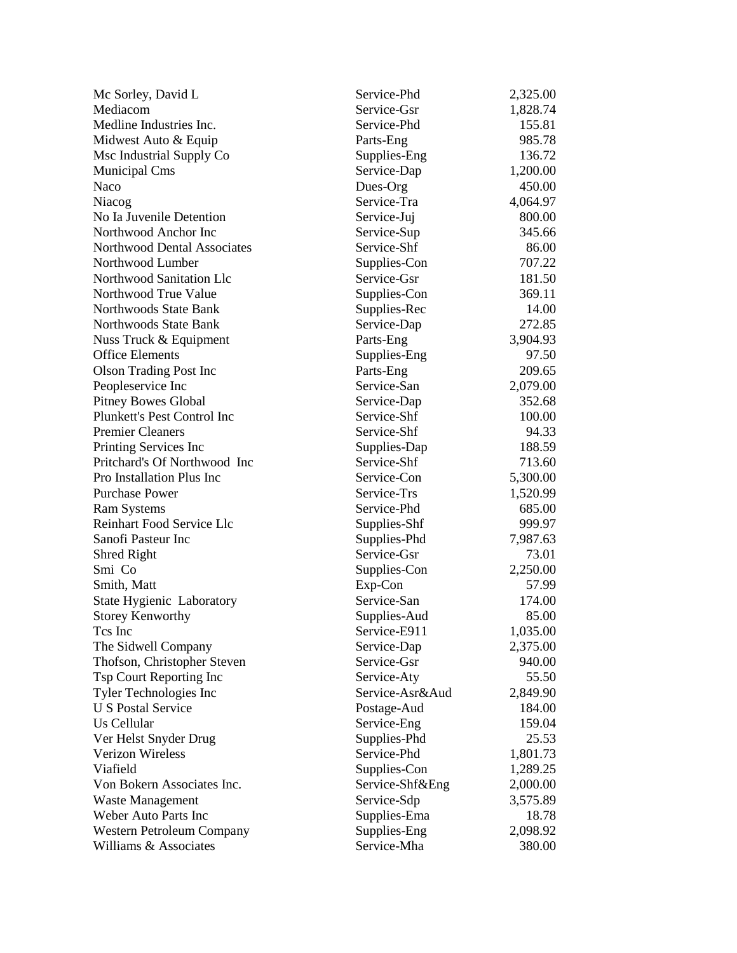| Mc Sorley, David L                 | Service-Phd     | 2,325.00 |
|------------------------------------|-----------------|----------|
| Mediacom                           | Service-Gsr     | 1,828.74 |
| Medline Industries Inc.            | Service-Phd     | 155.81   |
| Midwest Auto & Equip               | Parts-Eng       | 985.78   |
| Msc Industrial Supply Co           | Supplies-Eng    | 136.72   |
| <b>Municipal Cms</b>               | Service-Dap     | 1,200.00 |
| Naco                               | Dues-Org        | 450.00   |
| Niacog                             | Service-Tra     | 4,064.97 |
| No Ia Juvenile Detention           | Service-Juj     | 800.00   |
| Northwood Anchor Inc               | Service-Sup     | 345.66   |
| <b>Northwood Dental Associates</b> | Service-Shf     | 86.00    |
| Northwood Lumber                   | Supplies-Con    | 707.22   |
| Northwood Sanitation Llc           | Service-Gsr     | 181.50   |
| Northwood True Value               | Supplies-Con    | 369.11   |
| Northwoods State Bank              | Supplies-Rec    | 14.00    |
| Northwoods State Bank              | Service-Dap     | 272.85   |
| Nuss Truck & Equipment             | Parts-Eng       | 3,904.93 |
| <b>Office Elements</b>             | Supplies-Eng    | 97.50    |
| <b>Olson Trading Post Inc</b>      | Parts-Eng       | 209.65   |
| Peopleservice Inc                  | Service-San     | 2,079.00 |
| <b>Pitney Bowes Global</b>         | Service-Dap     | 352.68   |
| Plunkett's Pest Control Inc        | Service-Shf     | 100.00   |
| <b>Premier Cleaners</b>            | Service-Shf     | 94.33    |
| Printing Services Inc              | Supplies-Dap    | 188.59   |
| Pritchard's Of Northwood Inc       | Service-Shf     | 713.60   |
| Pro Installation Plus Inc          | Service-Con     | 5,300.00 |
| <b>Purchase Power</b>              | Service-Trs     | 1,520.99 |
| <b>Ram Systems</b>                 | Service-Phd     | 685.00   |
| <b>Reinhart Food Service Llc</b>   | Supplies-Shf    | 999.97   |
| Sanofi Pasteur Inc                 | Supplies-Phd    | 7,987.63 |
| Shred Right                        | Service-Gsr     | 73.01    |
| Smi Co                             | Supplies-Con    | 2,250.00 |
| Smith, Matt                        | Exp-Con         | 57.99    |
| State Hygienic Laboratory          | Service-San     | 174.00   |
| <b>Storey Kenworthy</b>            | Supplies-Aud    | 85.00    |
| Tcs Inc                            | Service-E911    | 1,035.00 |
| The Sidwell Company                | Service-Dap     | 2,375.00 |
| Thofson, Christopher Steven        | Service-Gsr     | 940.00   |
| Tsp Court Reporting Inc            | Service-Aty     | 55.50    |
| Tyler Technologies Inc             | Service-Asr&Aud | 2,849.90 |
| <b>U S Postal Service</b>          | Postage-Aud     | 184.00   |
| Us Cellular                        | Service-Eng     | 159.04   |
| Ver Helst Snyder Drug              | Supplies-Phd    | 25.53    |
| <b>Verizon Wireless</b>            | Service-Phd     | 1,801.73 |
| Viafield                           | Supplies-Con    | 1,289.25 |
| Von Bokern Associates Inc.         | Service-Shf&Eng | 2,000.00 |
| <b>Waste Management</b>            | Service-Sdp     | 3,575.89 |
| <b>Weber Auto Parts Inc</b>        | Supplies-Ema    | 18.78    |
| Western Petroleum Company          | Supplies-Eng    | 2,098.92 |
| Williams & Associates              | Service-Mha     | 380.00   |